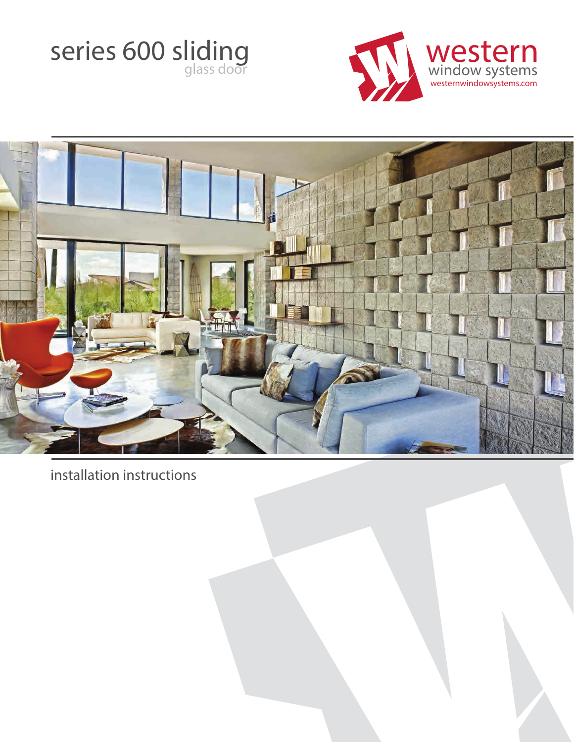



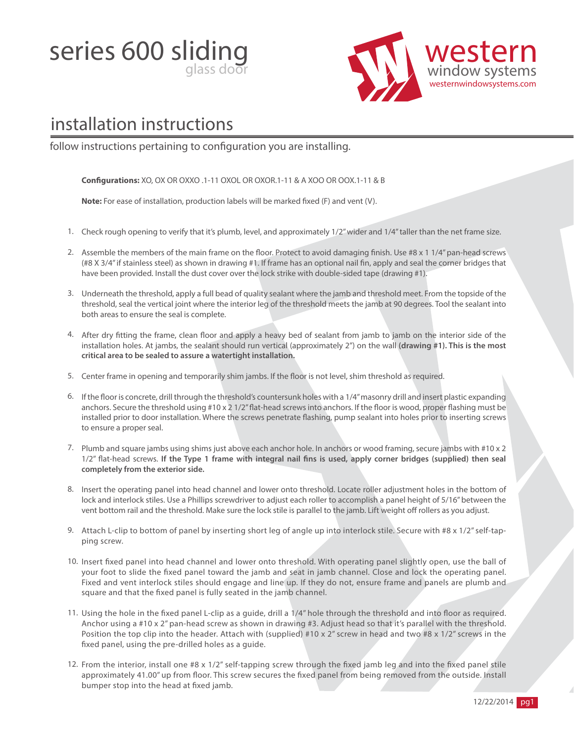series 600 sliding



# installation instructions

follow instructions pertaining to configuration you are installing.

**Congurations:** XO, OX OR OXXO .1-11 OXOL OR OXOR.1-11 & A XOO OR OOX.1-11 & B

**Note:** For ease of installation, production labels will be marked fixed (F) and vent (V).

- 1. Check rough opening to verify that it's plumb, level, and approximately 1/2" wider and 1/4" taller than the net frame size.
- 2. Assemble the members of the main frame on the floor. Protect to avoid damaging finish. Use #8  $x$  1 1/4" pan-head screws (#8 X 3/4" if stainless steel) as shown in drawing #1. If frame has an optional nail fin, apply and seal the corner bridges that have been provided. Install the dust cover over the lock strike with double-sided tape (drawing #1).
- 3. Underneath the threshold, apply a full bead of quality sealant where the jamb and threshold meet. From the topside of the threshold, seal the vertical joint where the interior leg of the threshold meets the jamb at 90 degrees. Tool the sealant into both areas to ensure the seal is complete.
- 4. After dry fitting the frame, clean floor and apply a heavy bed of sealant from jamb to jamb on the interior side of the installation holes. At jambs, the sealant should run vertical (approximately 2") on the wall **(drawing #1). This is the most critical area to be sealed to assure a watertight installation.**
- 5. Center frame in opening and temporarily shim jambs. If the floor is not level, shim threshold as required.
- 6. If the floor is concrete, drill through the threshold's countersunk holes with a 1/4" masonry drill and insert plastic expanding anchors. Secure the threshold using #10 x 2 1/2" flat-head screws into anchors. If the floor is wood, proper flashing must be installed prior to door installation. Where the screws penetrate flashing, pump sealant into holes prior to inserting screws to ensure a proper seal.
- Plumb and square jambs using shims just above each anchor hole. In anchors or wood framing, secure jambs with #10 x 2 7. 1/2" flat-head screws. If the Type 1 frame with integral nail fins is used, apply corner bridges (supplied) then seal **completely from the exterior side.**
- 8. Insert the operating panel into head channel and lower onto threshold. Locate roller adjustment holes in the bottom of lock and interlock stiles. Use a Phillips screwdriver to adjust each roller to accomplish a panel height of 5/16" between the vent bottom rail and the threshold. Make sure the lock stile is parallel to the jamb. Lift weight off rollers as you adjust.
- 9. Attach L-clip to bottom of panel by inserting short leg of angle up into interlock stile. Secure with #8 x 1/2" self-tapping screw.
- 10. Insert fixed panel into head channel and lower onto threshold. With operating panel slightly open, use the ball of your foot to slide the fixed panel toward the jamb and seat in jamb channel. Close and lock the operating panel. Fixed and vent interlock stiles should engage and line up. If they do not, ensure frame and panels are plumb and square and that the fixed panel is fully seated in the jamb channel.
- 11. Using the hole in the fixed panel L-clip as a guide, drill a 1/4" hole through the threshold and into floor as required. Anchor using a #10 x 2" pan-head screw as shown in drawing #3. Adjust head so that it's parallel with the threshold. Position the top clip into the header. Attach with (supplied) #10 x 2" screw in head and two #8 x 1/2" screws in the xed panel, using the pre-drilled holes as a guide.
- 12. From the interior, install one #8 x 1/2" self-tapping screw through the fixed jamb leg and into the fixed panel stile approximately 41.00" up from floor. This screw secures the fixed panel from being removed from the outside. Install bumper stop into the head at fixed jamb.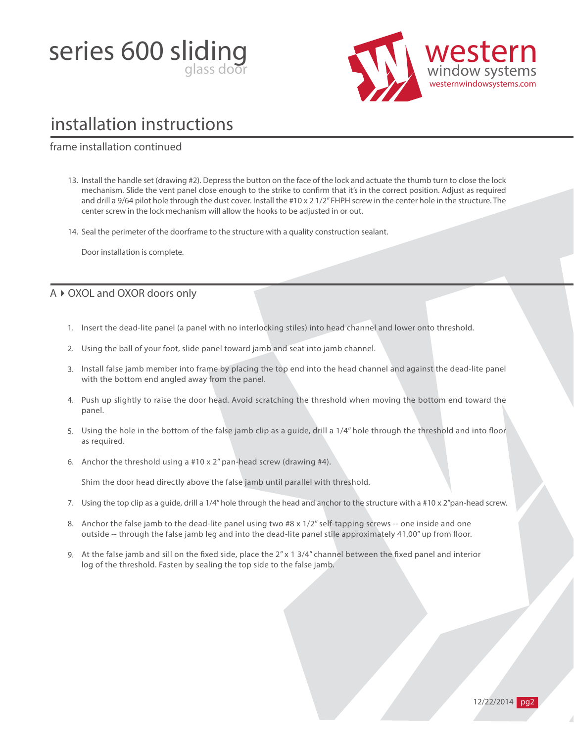



#### frame installation continued

13. Install the handle set (drawing #2). Depress the button on the face of the lock and actuate the thumb turn to close the lock mechanism. Slide the vent panel close enough to the strike to confirm that it's in the correct position. Adjust as required and drill a 9/64 pilot hole through the dust cover. Install the #10 x 2 1/2" FHPH screw in the center hole in the structure. The center screw in the lock mechanism will allow the hooks to be adjusted in or out.

14. Seal the perimeter of the doorframe to the structure with a quality construction sealant.

Door installation is complete.

#### A ▶ OXOL and OXOR doors only

- 1. Insert the dead-lite panel (a panel with no interlocking stiles) into head channel and lower onto threshold.
- 2. Using the ball of your foot, slide panel toward jamb and seat into jamb channel.
- 3. Install false jamb member into frame by placing the top end into the head channel and against the dead-lite panel with the bottom end angled away from the panel.
- 4. Push up slightly to raise the door head. Avoid scratching the threshold when moving the bottom end toward the panel.
- 5. Using the hole in the bottom of the false jamb clip as a guide, drill a 1/4" hole through the threshold and into floor as required.
- Anchor the threshold using a #10 x 2" pan-head screw (drawing #4). 6.

Shim the door head directly above the false jamb until parallel with threshold.

- 7. Using the top clip as a guide, drill a 1/4" hole through the head and anchor to the structure with a #10 x 2"pan-head screw.
- 8. Anchor the false jamb to the dead-lite panel using two #8 x 1/2" self-tapping screws -- one inside and one outside -- through the false jamb leg and into the dead-lite panel stile approximately 41.00" up from floor.
- 9. At the false jamb and sill on the fixed side, place the  $2''$  x 1 3/4" channel between the fixed panel and interior log of the threshold. Fasten by sealing the top side to the false jamb.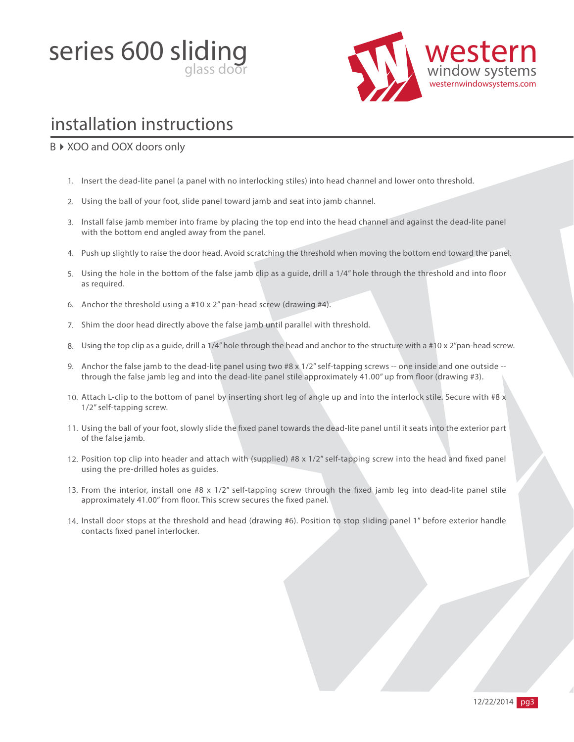



#### B ▶ XOO and OOX doors only

- 1. Insert the dead-lite panel (a panel with no interlocking stiles) into head channel and lower onto threshold.
- 2. Using the ball of your foot, slide panel toward jamb and seat into jamb channel.
- 3. Install false jamb member into frame by placing the top end into the head channel and against the dead-lite panel with the bottom end angled away from the panel.
- 4. Push up slightly to raise the door head. Avoid scratching the threshold when moving the bottom end toward the panel.
- 5. Using the hole in the bottom of the false jamb clip as a guide, drill a 1/4" hole through the threshold and into floor as required.
- 6. Anchor the threshold using a #10 x 2" pan-head screw (drawing #4).
- 7. Shim the door head directly above the false jamb until parallel with threshold.
- 8. Using the top clip as a guide, drill a 1/4" hole through the head and anchor to the structure with a #10 x 2"pan-head screw.
- 9. Anchor the false jamb to the dead-lite panel using two #8 x 1/2" self-tapping screws -- one inside and one outside through the false jamb leg and into the dead-lite panel stile approximately 41.00" up from floor (drawing #3).
- 10. Attach L-clip to the bottom of panel by inserting short leg of angle up and into the interlock stile. Secure with #8 x 1/2" self-tapping screw.
- 11. Using the ball of your foot, slowly slide the fixed panel towards the dead-lite panel until it seats into the exterior part of the false jamb.
- 12. Position top clip into header and attach with (supplied) #8 x 1/2" self-tapping screw into the head and fixed panel using the pre-drilled holes as guides.
- 13. From the interior, install one #8 x 1/2" self-tapping screw through the fixed jamb leg into dead-lite panel stile approximately 41.00" from floor. This screw secures the fixed panel.
- 14. Install door stops at the threshold and head (drawing #6). Position to stop sliding panel 1" before exterior handle contacts fixed panel interlocker.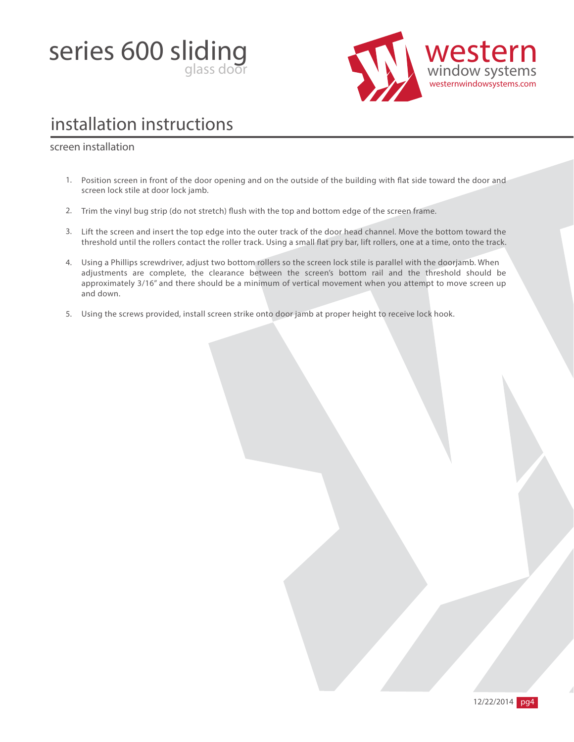



#### screen installation

- 1. Position screen in front of the door opening and on the outside of the building with flat side toward the door and screen lock stile at door lock jamb.
- 2. Trim the vinyl bug strip (do not stretch) flush with the top and bottom edge of the screen frame.
- 3. Lift the screen and insert the top edge into the outer track of the door head channel. Move the bottom toward the threshold until the rollers contact the roller track. Using a small at pry bar, lift rollers, one at a time, onto the track.
- 4. Using a Phillips screwdriver, adjust two bottom rollers so the screen lock stile is parallel with the doorjamb. When adjustments are complete, the clearance between the screen's bottom rail and the threshold should be approximately 3/16" and there should be a minimum of vertical movement when you attempt to move screen up and down.
- 5. Using the screws provided, install screen strike onto door jamb at proper height to receive lock hook.

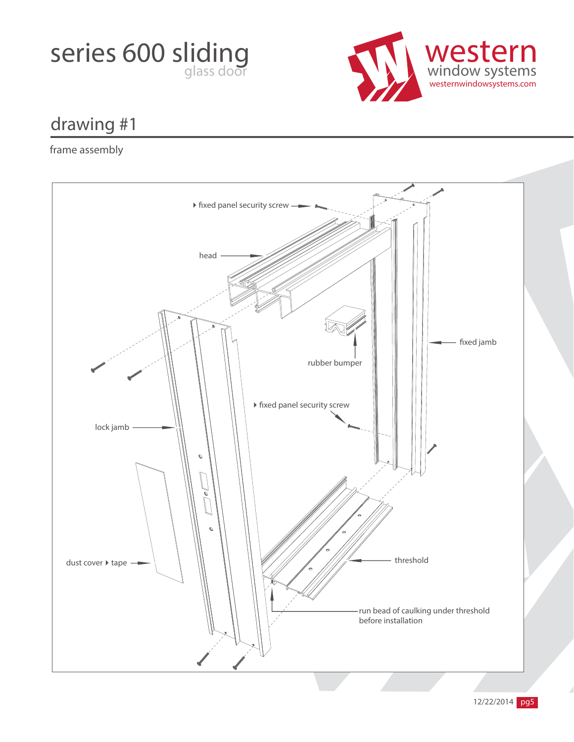



### frame assembly

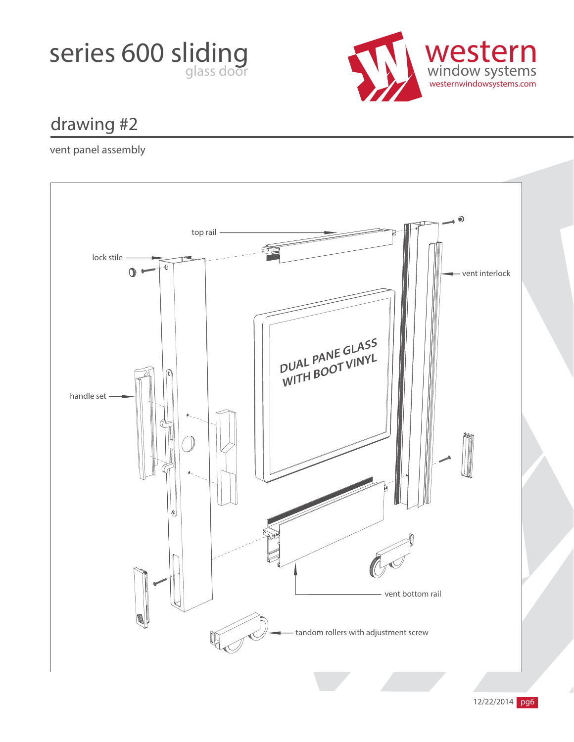



vent panel assembly

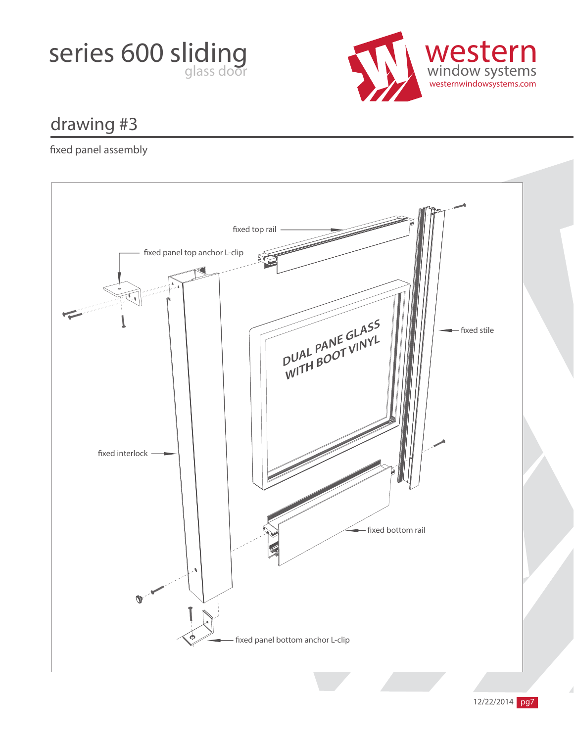



### xed panel assembly